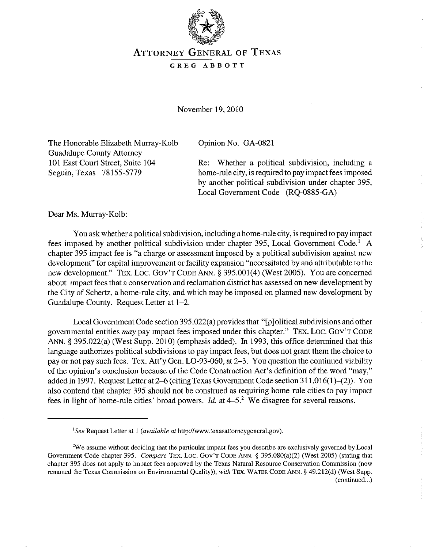

## ATTORNEY GENERAL OF TEXAS

## GREG ABBOTT

November 19,2010

The Honorable Elizabeth Murray-Kolb Guadalupe County Attorney 101 East Court Street, Suite 104 Seguin, Texas 78155-5779

Opinion No. GA-0821

Re: Whether a political subdivision, including a home-rule city, is required to pay impact fees imposed by another political subdivision under chapter 395, Local Government Code (RQ-0885-GA)

Dear Ms. Murray-Kolb:

You ask whether a political subdivision, including a home-rule city, is required to pay impact fees imposed by another political subdivision under chapter 395, Local Government Code.' A chapter 395 impact fee is "a charge or assessment imposed by a political subdivision against new development" for capital improvement or facility expansion "necessitated by and attributable to the new development." TEX. LOc. GOy'T CODE ANN. § 395.001(4) (West 2005). You are concerned about impact fees that a conservation and reclamation district has assessed on new development by the City of Schertz, a home-rule city, and which may be imposed on planned new development by Guadalupe County. Request Letter at 1-2.

Local Government Code section 395.022(a) provides that "[p jolitical subdivisions and other governmental entities *may* pay impact fees imposed under this chapter." TEX. Loc. GOy'T CODE ANN. § 395.022(a) (West Supp. 2010) (emphasis added). In 1993, this office determined that this language authorizes political subdivisions to pay impact fees, but does not grant them the choice to payor not pay such fees. Tex. Att'y Gen. LO-93-060, at 2-3. You question the continued viability of the opinion's conclusion because of the Code Construction Act's definition of the word "may," added in 1997. Request Letter at 2-6 (citing Texas Government Code section 311.016(1)-(2». You also contend that chapter 395 should not be construed as requiring home-rule cities to pay impact fees in light of home-rule cities' broad powers. *Id.* at  $4-5$ <sup>2</sup> We disagree for several reasons.

*ISee* Request Letter at I *(available at* http://www.texasattorneygeneraI.gov).

**<sup>2</sup>We assume without deciding that the particular impact fees you describe are exclusively governed by Local**  Government Code chapter 395. *Compare* TEx. Loc. GOV'T CODE ANN. § 395.080(a)(2) (West 2005) (stating that chapter 395 does not apply to impact fees approved by the Texas Natural Resource Conservation Commission (now renamed the Texas Commission on Environmental Quality)), *with* TEx. WATER CODE ANN. § 49.2!2(d) (West Supp. (continued...)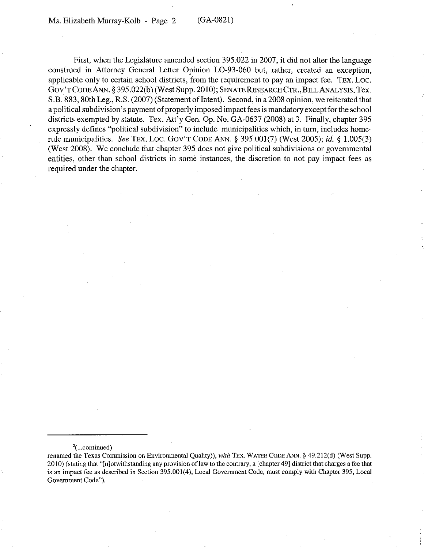First, when the Legislature amended section 395.022 in 2007, it did not alter the language construed in Attorney General Letter Opinion LO-93-060 but, rather, created an exception, applicable only to certain school districts, from the requirement to pay an impact fee. TEX. Loc. GOV'T CODE ANN. § 395.022(b) (West Supp. 2010); SENATE RESEARCH CTR., BILL ANALYSIS, Tex. S.B. 883, 80th Leg., R.S. (2007) (Statement of Intent). Second, in a 2008 opinion, we reiterated that a political subdivision's payment of properly imposed impact fees is mandatory except for the school districts exempted by statute. Tex. Att'y Gen. Op. No. GA-0637 (2008) at 3. Finally, chapter 395 expressly defines "political subdivision" to include municipalities which, in turn, includes homerule municipalities. *See* TEX. Loc. GOV'T CODE ANN. § 395.001(7) (West 2005); *id.* § 1.005(3) (West 2008). We conclude that chapter 395 does not give political subdivisions or governmental entities, other than school districts in some instances, the discretion to not pay impact fees as required under the chapter.

 $\frac{2}{1}$ ... continued)

renamed the Texas Commission on Environmental Quality», *with* TEx. WATER CODE ANN. § 49.212(d) (West Supp. 2010) (stating that "[n]otwithstanding any provision oflaw to the contrary, a [chapter 49] district that charges a fee that is an impact fee as described in Section 395.001(4), Local Government Code, must comply with Chapter 395, Local Government Code").